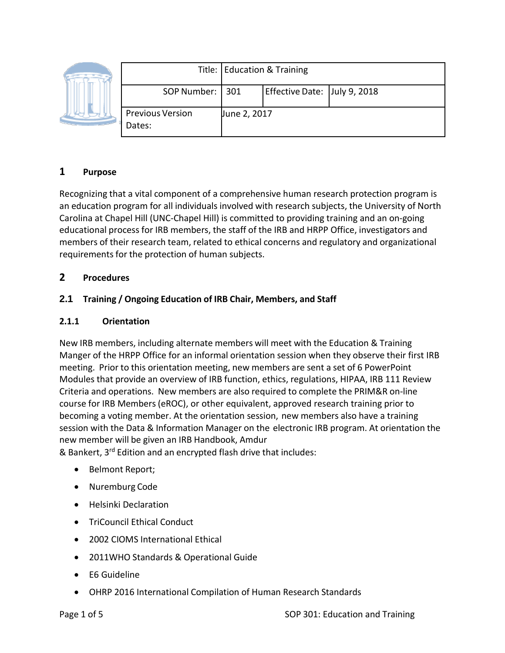|  |                                   | Title: Education & Training |                              |  |
|--|-----------------------------------|-----------------------------|------------------------------|--|
|  | SOP Number:   301                 |                             | Effective Date: July 9, 2018 |  |
|  | <b>Previous Version</b><br>Dates: | June 2, 2017                |                              |  |

# **1 Purpose**

Recognizing that a vital component of a comprehensive human research protection program is an education program for all individuals involved with research subjects, the University of North Carolina at Chapel Hill (UNC‐Chapel Hill) is committed to providing training and an on‐going educational process for IRB members, the staff of the IRB and HRPP Office, investigators and members of their research team, related to ethical concerns and regulatory and organizational requirements for the protection of human subjects.

### **2 Procedures**

### **2.1 Training / Ongoing Education of IRB Chair, Members, and Staff**

#### **2.1.1 Orientation**

New IRB members, including alternate members will meet with the Education & Training Manger of the HRPP Office for an informal orientation session when they observe their first IRB meeting. Prior to this orientation meeting, new members are sent a set of 6 PowerPoint Modules that provide an overview of IRB function, ethics, regulations, HIPAA, IRB 111 Review Criteria and operations. New members are also required to complete the PRIM&R on‐line course for IRB Members (eROC), or other equivalent, approved research training prior to becoming a voting member. At the orientation session, new members also have a training session with the Data & Information Manager on the electronic IRB program. At orientation the new member will be given an IRB Handbook, Amdur

& Bankert, 3rd Edition and an encrypted flash drive that includes:

- Belmont Report;
- Nuremburg Code
- Helsinki Declaration
- TriCouncil Ethical Conduct
- 2002 CIOMS International Ethical
- 2011WHO Standards & Operational Guide
- E6 Guideline
- OHRP 2016 International Compilation of Human Research Standards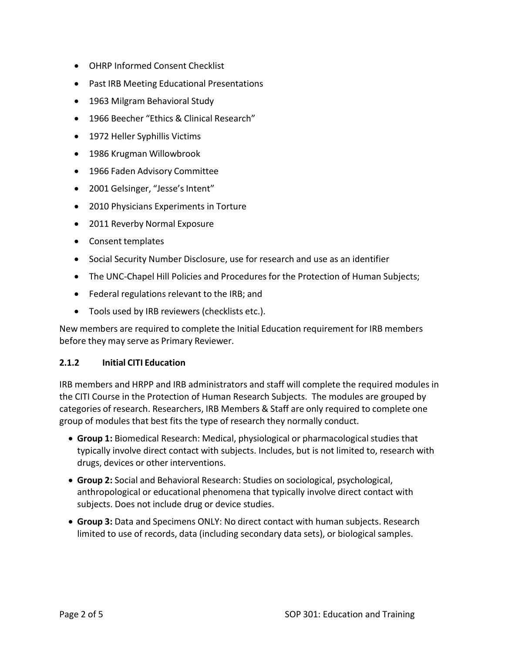- OHRP Informed Consent Checklist
- Past IRB Meeting Educational Presentations
- 1963 Milgram Behavioral Study
- 1966 Beecher "Ethics & Clinical Research"
- 1972 Heller Syphillis Victims
- 1986 Krugman Willowbrook
- 1966 Faden Advisory Committee
- 2001 Gelsinger, "Jesse's Intent"
- 2010 Physicians Experiments in Torture
- 2011 Reverby Normal Exposure
- Consent templates
- Social Security Number Disclosure, use for research and use as an identifier
- The UNC‐Chapel Hill Policies and Procedures for the Protection of Human Subjects;
- Federal regulations relevant to the IRB; and
- Tools used by IRB reviewers (checklists etc.).

New members are required to complete the Initial Education requirement for IRB members before they may serve as Primary Reviewer.

#### **2.1.2 Initial CITI Education**

IRB members and HRPP and IRB administrators and staff will complete the required modules in the CITI Course in the Protection of Human Research Subjects. The modules are grouped by categories of research. Researchers, IRB Members & Staff are only required to complete one group of modules that best fits the type of research they normally conduct.

- **Group 1:** Biomedical Research: Medical, physiological or pharmacological studies that typically involve direct contact with subjects. Includes, but is not limited to, research with drugs, devices or other interventions.
- **Group 2:** Social and Behavioral Research: Studies on sociological, psychological, anthropological or educational phenomena that typically involve direct contact with subjects. Does not include drug or device studies.
- **Group 3:** Data and Specimens ONLY: No direct contact with human subjects. Research limited to use of records, data (including secondary data sets), or biological samples.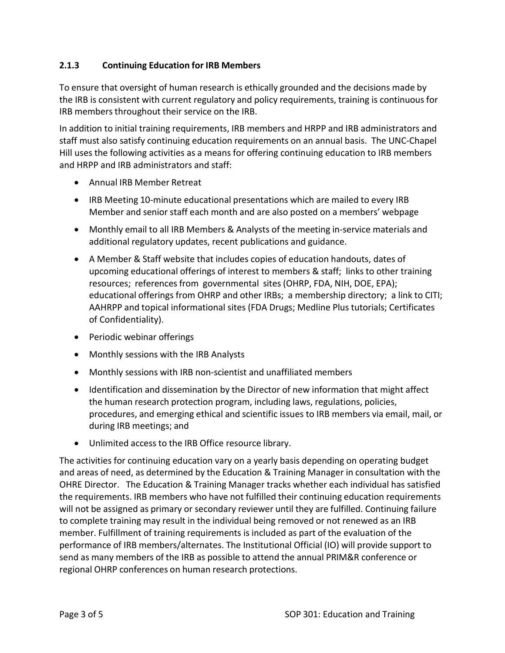### **2.1.3 Continuing Education for IRB Members**

To ensure that oversight of human research is ethically grounded and the decisions made by the IRB is consistent with current regulatory and policy requirements, training is continuous for IRB members throughout their service on the IRB.

In addition to initial training requirements, IRB members and HRPP and IRB administrators and staff must also satisfy continuing education requirements on an annual basis. The UNC‐Chapel Hill uses the following activities as a means for offering continuing education to IRB members and HRPP and IRB administrators and staff:

- Annual IRB Member Retreat
- IRB Meeting 10-minute educational presentations which are mailed to every IRB Member and senior staff each month and are also posted on a members' webpage
- Monthly email to all IRB Members & Analysts of the meeting in‐service materials and additional regulatory updates, recent publications and guidance.
- A Member & Staff website that includes copies of education handouts, dates of upcoming educational offerings of interest to members & staff; links to other training resources; references from governmental sites (OHRP, FDA, NIH, DOE, EPA); educational offerings from OHRP and other IRBs; a membership directory; a link to CITI; AAHRPP and topical informational sites (FDA Drugs; Medline Plus tutorials; Certificates of Confidentiality).
- Periodic webinar offerings
- Monthly sessions with the IRB Analysts
- Monthly sessions with IRB non‐scientist and unaffiliated members
- Identification and dissemination by the Director of new information that might affect the human research protection program, including laws, regulations, policies, procedures, and emerging ethical and scientific issues to IRB members via email, mail, or during IRB meetings; and
- Unlimited access to the IRB Office resource library.

The activities for continuing education vary on a yearly basis depending on operating budget and areas of need, as determined by the Education & Training Manager in consultation with the OHRE Director. The Education & Training Manager tracks whether each individual has satisfied the requirements. IRB members who have not fulfilled their continuing education requirements will not be assigned as primary or secondary reviewer until they are fulfilled. Continuing failure to complete training may result in the individual being removed or not renewed as an IRB member. Fulfillment of training requirements is included as part of the evaluation of the performance of IRB members/alternates. The Institutional Official (IO) will provide support to send as many members of the IRB as possible to attend the annual PRIM&R conference or regional OHRP conferences on human research protections.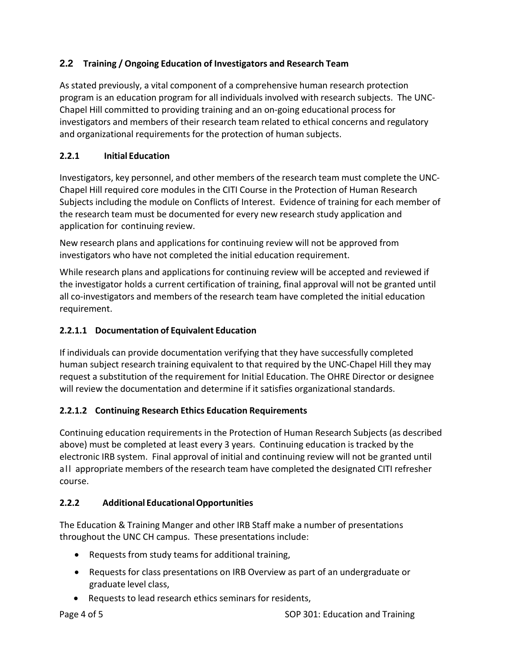# **2.2 Training / Ongoing Education of Investigators and Research Team**

As stated previously, a vital component of a comprehensive human research protection program is an education program for all individuals involved with research subjects. The UNC‐ Chapel Hill committed to providing training and an on‐going educational process for investigators and members of their research team related to ethical concerns and regulatory and organizational requirements for the protection of human subjects.

### **2.2.1 Initial Education**

Investigators, key personnel, and other members of the research team must complete the UNC‐ Chapel Hill required core modules in the CITI Course in the Protection of Human Research Subjects including the module on Conflicts of Interest. Evidence of training for each member of the research team must be documented for every new research study application and application for continuing review.

New research plans and applications for continuing review will not be approved from investigators who have not completed the initial education requirement.

While research plans and applications for continuing review will be accepted and reviewed if the investigator holds a current certification of training, final approval will not be granted until all co-investigators and members of the research team have completed the initial education requirement.

# **2.2.1.1 Documentation of Equivalent Education**

If individuals can provide documentation verifying that they have successfully completed human subject research training equivalent to that required by the UNC‐Chapel Hill they may request a substitution of the requirement for Initial Education. The OHRE Director or designee will review the documentation and determine if it satisfies organizational standards.

# **2.2.1.2 Continuing Research Ethics Education Requirements**

Continuing education requirements in the Protection of Human Research Subjects (as described above) must be completed at least every 3 years. Continuing education is tracked by the electronic IRB system. Final approval of initial and continuing review will not be granted until all appropriate members of the research team have completed the designated CITI refresher course.

# **2.2.2 Additional EducationalOpportunities**

The Education & Training Manger and other IRB Staff make a number of presentations throughout the UNC CH campus. These presentations include:

- Requests from study teams for additional training,
- Requests for class presentations on IRB Overview as part of an undergraduate or graduate level class,
- Requests to lead research ethics seminars for residents,